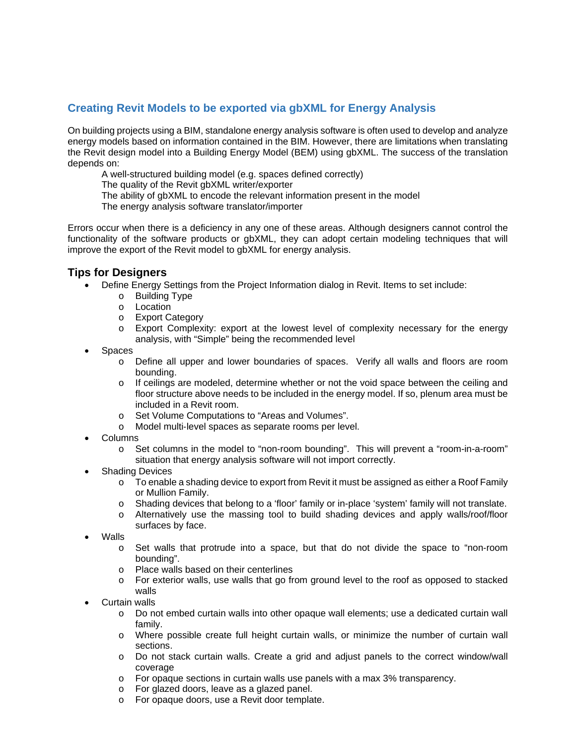## **Creating Revit Models to be exported via gbXML for Energy Analysis**

On building projects using a BIM, standalone energy analysis software is often used to develop and analyze energy models based on information contained in the BIM. However, there are limitations when translating the Revit design model into a Building Energy Model (BEM) using gbXML. The success of the translation depends on:

A well-structured building model (e.g. spaces defined correctly)

The quality of the Revit gbXML writer/exporter

The ability of gbXML to encode the relevant information present in the model

The energy analysis software translator/importer

Errors occur when there is a deficiency in any one of these areas. Although designers cannot control the functionality of the software products or gbXML, they can adopt certain modeling techniques that will improve the export of the Revit model to gbXML for energy analysis.

## **Tips for Designers**

- Define Energy Settings from the Project Information dialog in Revit. Items to set include:
	- o Building Type
	- o Location
	- o Export Category
	- o Export Complexity: export at the lowest level of complexity necessary for the energy analysis, with "Simple" being the recommended level
- Spaces
	- o Define all upper and lower boundaries of spaces. Verify all walls and floors are room bounding.
	- o If ceilings are modeled, determine whether or not the void space between the ceiling and floor structure above needs to be included in the energy model. If so, plenum area must be included in a Revit room.
	- o Set Volume Computations to "Areas and Volumes".
	- o Model multi‐level spaces as separate rooms per level.
- Columns
	- o Set columns in the model to "non‐room bounding". This will prevent a "room-in-a-room" situation that energy analysis software will not import correctly.
- Shading Devices
	- $\circ$  To enable a shading device to export from Revit it must be assigned as either a Roof Family or Mullion Family.
	- o Shading devices that belong to a 'floor' family or in-place 'system' family will not translate.
	- o Alternatively use the massing tool to build shading devices and apply walls/roof/floor surfaces by face.
- Walls
	- o Set walls that protrude into a space, but that do not divide the space to "non‐room bounding".
	- o Place walls based on their centerlines
	- o For exterior walls, use walls that go from ground level to the roof as opposed to stacked walls
- Curtain walls
	- o Do not embed curtain walls into other opaque wall elements; use a dedicated curtain wall family.
	- o Where possible create full height curtain walls, or minimize the number of curtain wall sections.
	- o Do not stack curtain walls. Create a grid and adjust panels to the correct window/wall coverage
	- o For opaque sections in curtain walls use panels with a max 3% transparency.
	- o For glazed doors, leave as a glazed panel.
	- o For opaque doors, use a Revit door template.